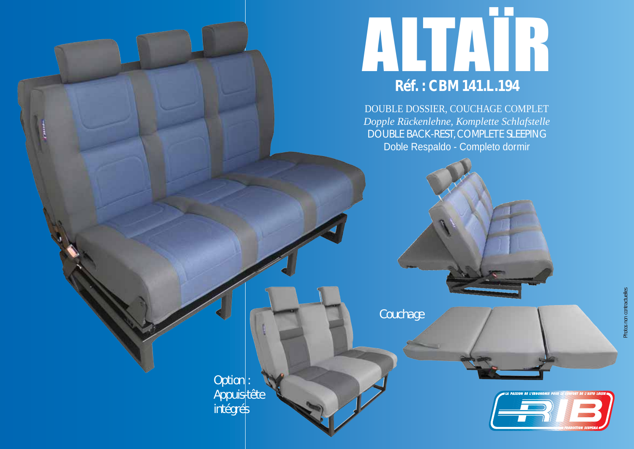

DOUBLE DOSSIER, COUCHAGE COMPLET *Dopple Rückenlehne, Komplette Schlafstelle* DOUBLE BACK-REST, COMPLETE SLEEPING Doble Respaldo - Completo dormir

*Couchage*

*Option : Appuis-tête intégrés*